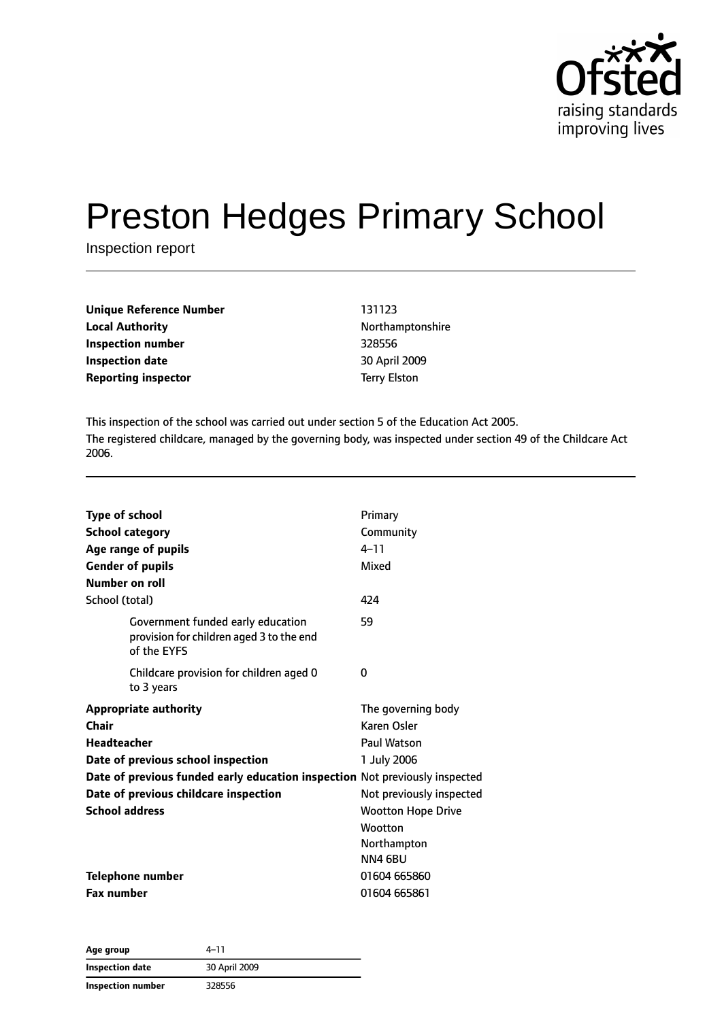

# Preston Hedges Primary School

Inspection report

| Unique Reference Number | 131123              |
|-------------------------|---------------------|
| Local Authority         | Northamptonshire    |
| Inspection number       | 328556              |
| Inspection date         | 30 April 2009       |
| Reporting inspector     | <b>Terry Elston</b> |
|                         |                     |

This inspection of the school was carried out under section 5 of the Education Act 2005. The registered childcare, managed by the governing body, was inspected under section 49 of the Childcare Act 2006.

| <b>Type of school</b><br><b>School category</b><br>Age range of pupils<br><b>Gender of pupils</b><br>Number on roll | Primary<br>Community<br>$4 - 11$<br>Mixed                             |
|---------------------------------------------------------------------------------------------------------------------|-----------------------------------------------------------------------|
| School (total)                                                                                                      | 424                                                                   |
| Government funded early education<br>provision for children aged 3 to the end<br>of the EYFS                        | 59                                                                    |
| Childcare provision for children aged 0<br>to 3 years                                                               | 0                                                                     |
| <b>Appropriate authority</b>                                                                                        | The governing body                                                    |
| Chair                                                                                                               | Karen Osler                                                           |
| <b>Headteacher</b>                                                                                                  | Paul Watson                                                           |
| Date of previous school inspection                                                                                  | 1 July 2006                                                           |
| Date of previous funded early education inspection Not previously inspected                                         |                                                                       |
| Date of previous childcare inspection                                                                               | Not previously inspected                                              |
| <b>School address</b>                                                                                               | <b>Wootton Hope Drive</b><br><b>Wootton</b><br>Northampton<br>NN4 6BU |
| <b>Telephone number</b>                                                                                             | 01604 665860                                                          |
| <b>Fax number</b>                                                                                                   | 01604 665861                                                          |

**Age group** 4–11 **Inspection date** 30 April 2009 **Inspection number** 328556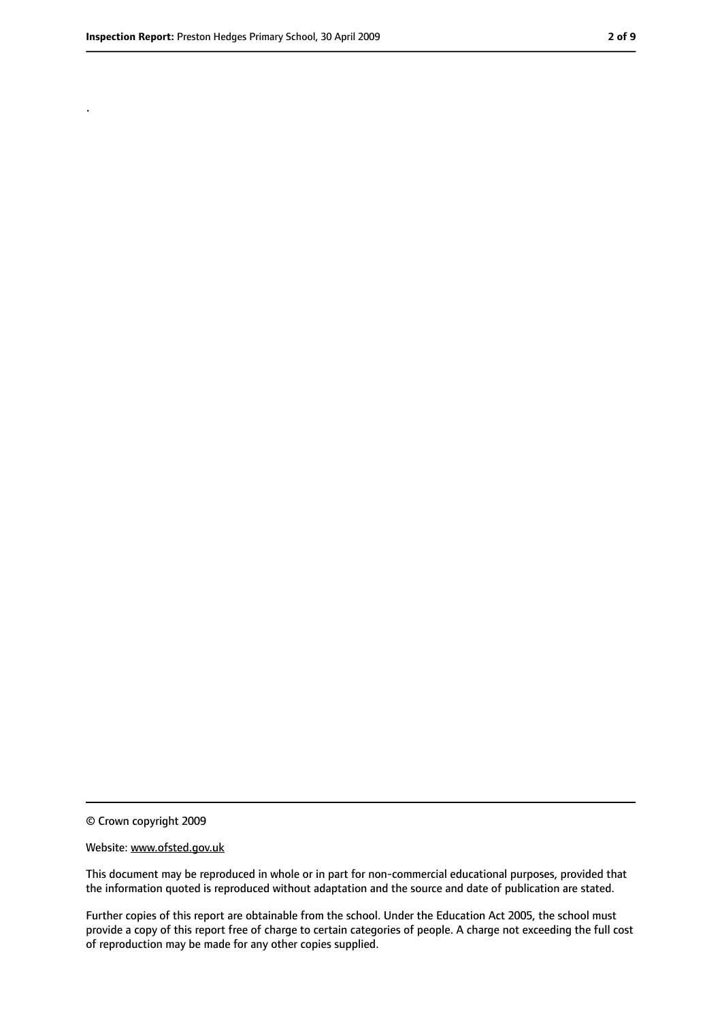.

<sup>©</sup> Crown copyright 2009

Website: www.ofsted.gov.uk

This document may be reproduced in whole or in part for non-commercial educational purposes, provided that the information quoted is reproduced without adaptation and the source and date of publication are stated.

Further copies of this report are obtainable from the school. Under the Education Act 2005, the school must provide a copy of this report free of charge to certain categories of people. A charge not exceeding the full cost of reproduction may be made for any other copies supplied.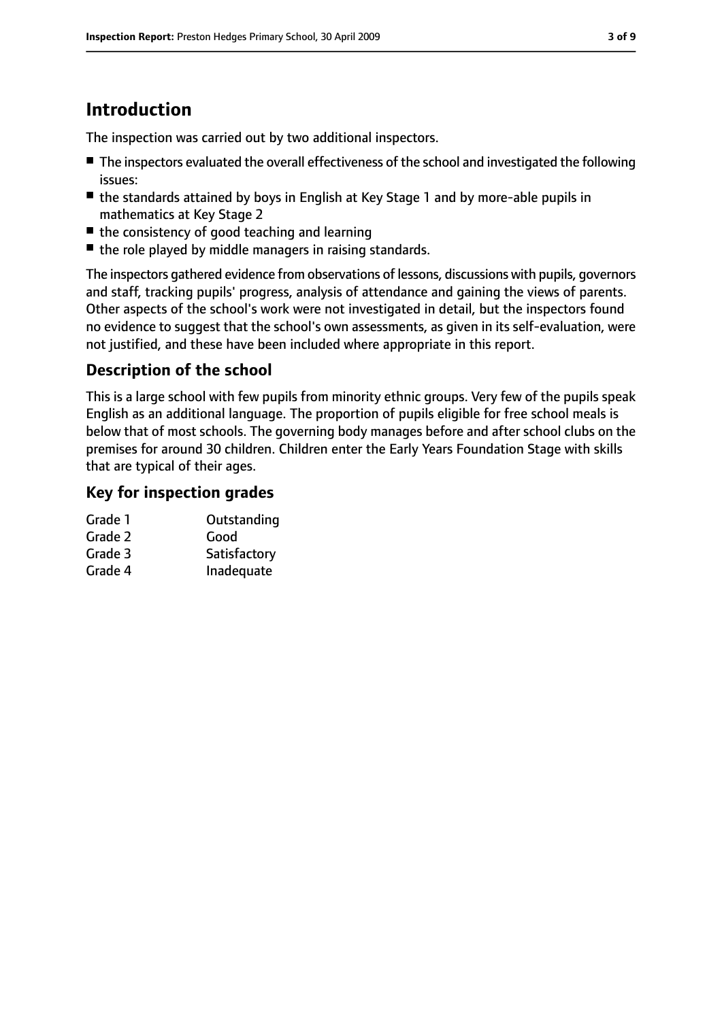# **Introduction**

The inspection was carried out by two additional inspectors.

- The inspectors evaluated the overall effectiveness of the school and investigated the following issues:
- the standards attained by boys in English at Key Stage 1 and by more-able pupils in mathematics at Key Stage 2
- the consistency of good teaching and learning
- the role played by middle managers in raising standards.

The inspectors gathered evidence from observations of lessons, discussions with pupils, governors and staff, tracking pupils' progress, analysis of attendance and gaining the views of parents. Other aspects of the school's work were not investigated in detail, but the inspectors found no evidence to suggest that the school's own assessments, as given in its self-evaluation, were not justified, and these have been included where appropriate in this report.

### **Description of the school**

This is a large school with few pupils from minority ethnic groups. Very few of the pupils speak English as an additional language. The proportion of pupils eligible for free school meals is below that of most schools. The governing body manages before and after school clubs on the premises for around 30 children. Children enter the Early Years Foundation Stage with skills that are typical of their ages.

#### **Key for inspection grades**

| Grade 1 | Outstanding  |
|---------|--------------|
| Grade 2 | Good         |
| Grade 3 | Satisfactory |
| Grade 4 | Inadequate   |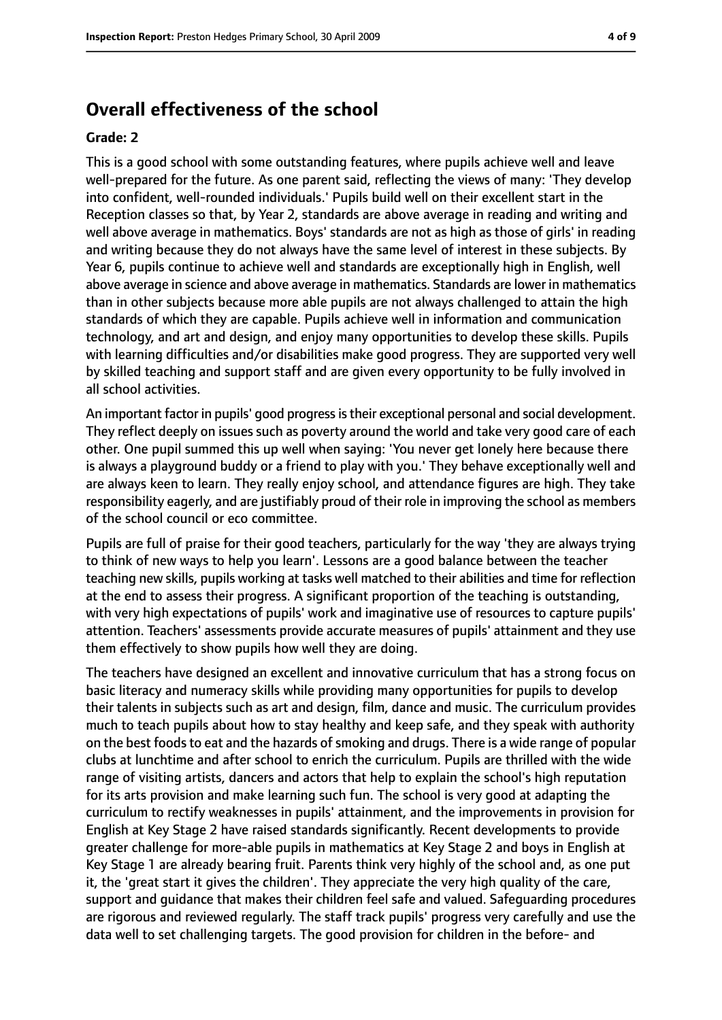#### **Overall effectiveness of the school**

#### **Grade: 2**

This is a good school with some outstanding features, where pupils achieve well and leave well-prepared for the future. As one parent said, reflecting the views of many: 'They develop into confident, well-rounded individuals.' Pupils build well on their excellent start in the Reception classes so that, by Year 2, standards are above average in reading and writing and well above average in mathematics. Boys' standards are not as high as those of girls' in reading and writing because they do not always have the same level of interest in these subjects. By Year 6, pupils continue to achieve well and standards are exceptionally high in English, well above average in science and above average in mathematics. Standards are lower in mathematics than in other subjects because more able pupils are not always challenged to attain the high standards of which they are capable. Pupils achieve well in information and communication technology, and art and design, and enjoy many opportunities to develop these skills. Pupils with learning difficulties and/or disabilities make good progress. They are supported very well by skilled teaching and support staff and are given every opportunity to be fully involved in all school activities.

An important factor in pupils' good progress is their exceptional personal and social development. They reflect deeply on issues such as poverty around the world and take very good care of each other. One pupil summed this up well when saying: 'You never get lonely here because there is always a playground buddy or a friend to play with you.' They behave exceptionally well and are always keen to learn. They really enjoy school, and attendance figures are high. They take responsibility eagerly, and are justifiably proud of their role in improving the school as members of the school council or eco committee.

Pupils are full of praise for their good teachers, particularly for the way 'they are always trying to think of new ways to help you learn'. Lessons are a good balance between the teacher teaching new skills, pupils working at tasks well matched to their abilities and time for reflection at the end to assess their progress. A significant proportion of the teaching is outstanding, with very high expectations of pupils' work and imaginative use of resources to capture pupils' attention. Teachers' assessments provide accurate measures of pupils' attainment and they use them effectively to show pupils how well they are doing.

The teachers have designed an excellent and innovative curriculum that has a strong focus on basic literacy and numeracy skills while providing many opportunities for pupils to develop their talents in subjects such as art and design, film, dance and music. The curriculum provides much to teach pupils about how to stay healthy and keep safe, and they speak with authority on the best foods to eat and the hazards of smoking and drugs. There is a wide range of popular clubs at lunchtime and after school to enrich the curriculum. Pupils are thrilled with the wide range of visiting artists, dancers and actors that help to explain the school's high reputation for its arts provision and make learning such fun. The school is very good at adapting the curriculum to rectify weaknesses in pupils' attainment, and the improvements in provision for English at Key Stage 2 have raised standards significantly. Recent developments to provide greater challenge for more-able pupils in mathematics at Key Stage 2 and boys in English at Key Stage 1 are already bearing fruit. Parents think very highly of the school and, as one put it, the 'great start it gives the children'. They appreciate the very high quality of the care, support and guidance that makes their children feel safe and valued. Safeguarding procedures are rigorous and reviewed regularly. The staff track pupils' progress very carefully and use the data well to set challenging targets. The good provision for children in the before- and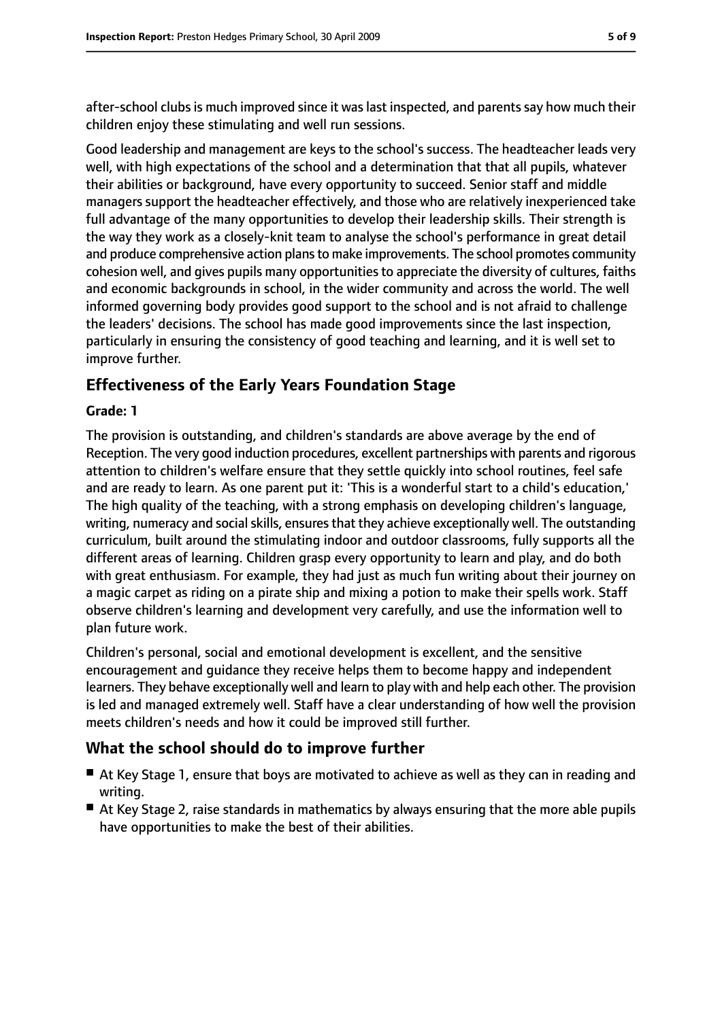after-school clubs is much improved since it was last inspected, and parents say how much their children enjoy these stimulating and well run sessions.

Good leadership and management are keys to the school's success. The headteacher leads very well, with high expectations of the school and a determination that that all pupils, whatever their abilities or background, have every opportunity to succeed. Senior staff and middle managers support the headteacher effectively, and those who are relatively inexperienced take full advantage of the many opportunities to develop their leadership skills. Their strength is the way they work as a closely-knit team to analyse the school's performance in great detail and produce comprehensive action plans to make improvements. The school promotes community cohesion well, and gives pupils many opportunities to appreciate the diversity of cultures, faiths and economic backgrounds in school, in the wider community and across the world. The well informed governing body provides good support to the school and is not afraid to challenge the leaders' decisions. The school has made good improvements since the last inspection, particularly in ensuring the consistency of good teaching and learning, and it is well set to improve further.

#### **Effectiveness of the Early Years Foundation Stage**

#### **Grade: 1**

The provision is outstanding, and children's standards are above average by the end of Reception. The very good induction procedures, excellent partnerships with parents and rigorous attention to children's welfare ensure that they settle quickly into school routines, feel safe and are ready to learn. As one parent put it: 'This is a wonderful start to a child's education,' The high quality of the teaching, with a strong emphasis on developing children's language, writing, numeracy and social skills, ensures that they achieve exceptionally well. The outstanding curriculum, built around the stimulating indoor and outdoor classrooms, fully supports all the different areas of learning. Children grasp every opportunity to learn and play, and do both with great enthusiasm. For example, they had just as much fun writing about their journey on a magic carpet as riding on a pirate ship and mixing a potion to make their spells work. Staff observe children's learning and development very carefully, and use the information well to plan future work.

Children's personal, social and emotional development is excellent, and the sensitive encouragement and guidance they receive helps them to become happy and independent learners. They behave exceptionally well and learn to play with and help each other. The provision is led and managed extremely well. Staff have a clear understanding of how well the provision meets children's needs and how it could be improved still further.

#### **What the school should do to improve further**

- At Key Stage 1, ensure that boys are motivated to achieve as well as they can in reading and writing.
- At Key Stage 2, raise standards in mathematics by always ensuring that the more able pupils have opportunities to make the best of their abilities.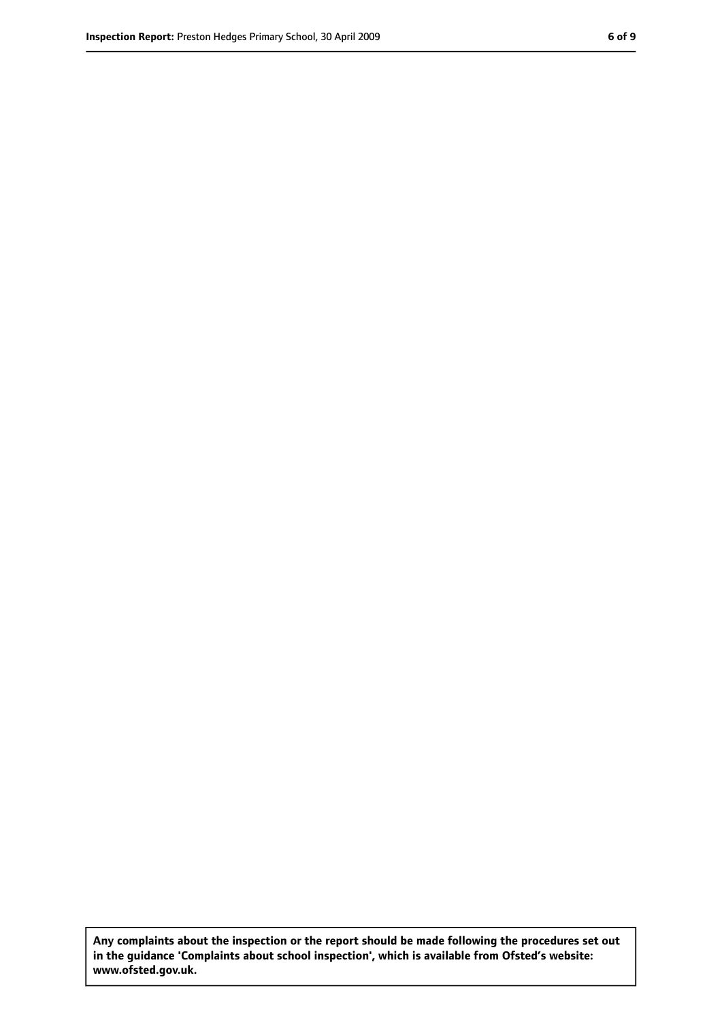**Any complaints about the inspection or the report should be made following the procedures set out in the guidance 'Complaints about school inspection', which is available from Ofsted's website: www.ofsted.gov.uk.**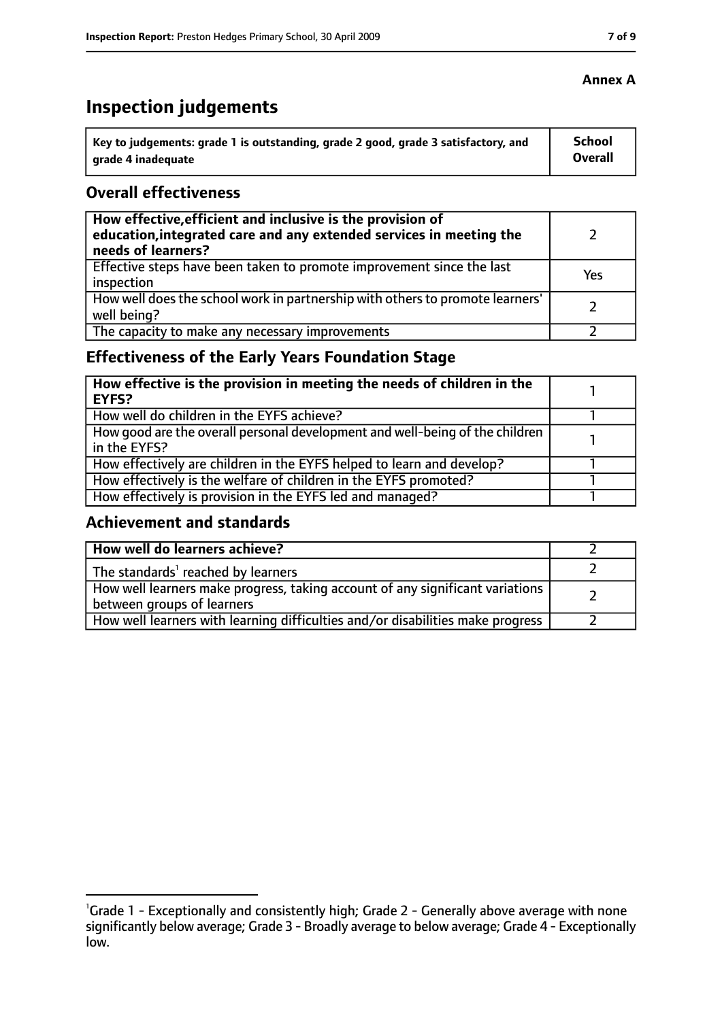# **Inspection judgements**

| Key to judgements: grade 1 is outstanding, grade 2 good, grade 3 satisfactory, and | <b>School</b>  |
|------------------------------------------------------------------------------------|----------------|
| arade 4 inadequate                                                                 | <b>Overall</b> |

#### **Overall effectiveness**

| How effective, efficient and inclusive is the provision of<br>education, integrated care and any extended services in meeting the<br>needs of learners? |     |
|---------------------------------------------------------------------------------------------------------------------------------------------------------|-----|
| Effective steps have been taken to promote improvement since the last<br>inspection                                                                     | Yes |
| How well does the school work in partnership with others to promote learners'<br>well being?                                                            |     |
| The capacity to make any necessary improvements                                                                                                         |     |

## **Effectiveness of the Early Years Foundation Stage**

| How effective is the provision in meeting the needs of children in the<br><b>EYFS?</b>       |  |
|----------------------------------------------------------------------------------------------|--|
| How well do children in the EYFS achieve?                                                    |  |
| How good are the overall personal development and well-being of the children<br>in the EYFS? |  |
| How effectively are children in the EYFS helped to learn and develop?                        |  |
| How effectively is the welfare of children in the EYFS promoted?                             |  |
| How effectively is provision in the EYFS led and managed?                                    |  |

#### **Achievement and standards**

| How well do learners achieve?                                                                               |  |
|-------------------------------------------------------------------------------------------------------------|--|
| The standards <sup>1</sup> reached by learners                                                              |  |
| How well learners make progress, taking account of any significant variations<br>between groups of learners |  |
| How well learners with learning difficulties and/or disabilities make progress                              |  |

#### **Annex A**

<sup>&</sup>lt;sup>1</sup>Grade 1 - Exceptionally and consistently high; Grade 2 - Generally above average with none significantly below average; Grade 3 - Broadly average to below average; Grade 4 - Exceptionally low.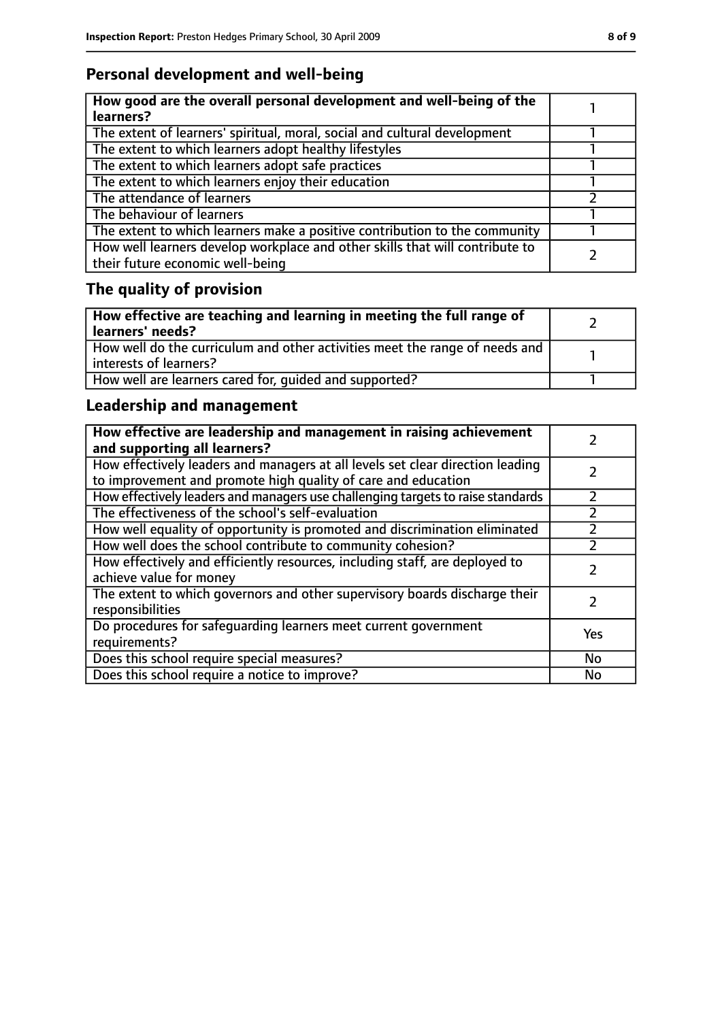## **Personal development and well-being**

| How good are the overall personal development and well-being of the<br>learners?                                 |  |
|------------------------------------------------------------------------------------------------------------------|--|
| The extent of learners' spiritual, moral, social and cultural development                                        |  |
| The extent to which learners adopt healthy lifestyles                                                            |  |
| The extent to which learners adopt safe practices                                                                |  |
| The extent to which learners enjoy their education                                                               |  |
| The attendance of learners                                                                                       |  |
| The behaviour of learners                                                                                        |  |
| The extent to which learners make a positive contribution to the community                                       |  |
| How well learners develop workplace and other skills that will contribute to<br>their future economic well-being |  |

# **The quality of provision**

| How effective are teaching and learning in meeting the full range of<br>learners' needs?              |  |
|-------------------------------------------------------------------------------------------------------|--|
| How well do the curriculum and other activities meet the range of needs and<br>interests of learners? |  |
| How well are learners cared for, quided and supported?                                                |  |

## **Leadership and management**

| How effective are leadership and management in raising achievement<br>and supporting all learners?                                              |     |
|-------------------------------------------------------------------------------------------------------------------------------------------------|-----|
| How effectively leaders and managers at all levels set clear direction leading<br>to improvement and promote high quality of care and education |     |
| How effectively leaders and managers use challenging targets to raise standards                                                                 |     |
| The effectiveness of the school's self-evaluation                                                                                               |     |
| How well equality of opportunity is promoted and discrimination eliminated                                                                      |     |
| How well does the school contribute to community cohesion?                                                                                      |     |
| How effectively and efficiently resources, including staff, are deployed to<br>achieve value for money                                          |     |
| The extent to which governors and other supervisory boards discharge their<br>responsibilities                                                  |     |
| Do procedures for safeguarding learners meet current government<br>requirements?                                                                | Yes |
| Does this school require special measures?                                                                                                      | No  |
| Does this school require a notice to improve?                                                                                                   | No  |